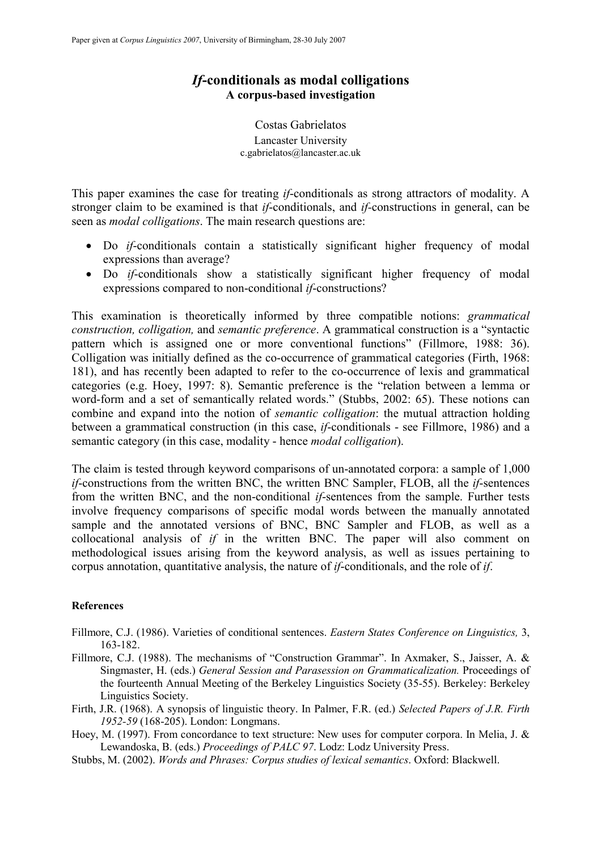### If-conditionals as modal colligations A corpus-based investigation

Costas Gabrielatos Lancaster University c.gabrielatos@lancaster.ac.uk

This paper examines the case for treating *if*-conditionals as strong attractors of modality. A stronger claim to be examined is that *if*-conditionals, and *if*-constructions in general, can be seen as *modal colligations*. The main research questions are:

- Do if-conditionals contain a statistically significant higher frequency of modal expressions than average?
- Do *if*-conditionals show a statistically significant higher frequency of modal expressions compared to non-conditional if-constructions?

This examination is theoretically informed by three compatible notions: grammatical construction, colligation, and semantic preference. A grammatical construction is a "syntactic pattern which is assigned one or more conventional functions" (Fillmore, 1988: 36). Colligation was initially defined as the co-occurrence of grammatical categories (Firth, 1968: 181), and has recently been adapted to refer to the co-occurrence of lexis and grammatical categories (e.g. Hoey, 1997: 8). Semantic preference is the "relation between a lemma or word-form and a set of semantically related words." (Stubbs, 2002: 65). These notions can combine and expand into the notion of semantic colligation: the mutual attraction holding between a grammatical construction (in this case, if-conditionals - see Fillmore, 1986) and a semantic category (in this case, modality - hence *modal colligation*).

The claim is tested through keyword comparisons of un-annotated corpora: a sample of 1,000 if-constructions from the written BNC, the written BNC Sampler, FLOB, all the if-sentences from the written BNC, and the non-conditional if-sentences from the sample. Further tests involve frequency comparisons of specific modal words between the manually annotated sample and the annotated versions of BNC, BNC Sampler and FLOB, as well as a collocational analysis of  $if$  in the written BNC. The paper will also comment on methodological issues arising from the keyword analysis, as well as issues pertaining to corpus annotation, quantitative analysis, the nature of if-conditionals, and the role of if.

### **References**

- Fillmore, C.J. (1986). Varieties of conditional sentences. Eastern States Conference on Linguistics, 3, 163-182.
- Fillmore, C.J. (1988). The mechanisms of "Construction Grammar". In Axmaker, S., Jaisser, A. & Singmaster, H. (eds.) General Session and Parasession on Grammaticalization. Proceedings of the fourteenth Annual Meeting of the Berkeley Linguistics Society (35-55). Berkeley: Berkeley Linguistics Society.
- Firth, J.R. (1968). A synopsis of linguistic theory. In Palmer, F.R. (ed.) Selected Papers of J.R. Firth 1952-59 (168-205). London: Longmans.
- Hoey, M. (1997). From concordance to text structure: New uses for computer corpora. In Melia, J. & Lewandoska, B. (eds.) Proceedings of PALC 97. Lodz: Lodz University Press.
- Stubbs, M. (2002). Words and Phrases: Corpus studies of lexical semantics. Oxford: Blackwell.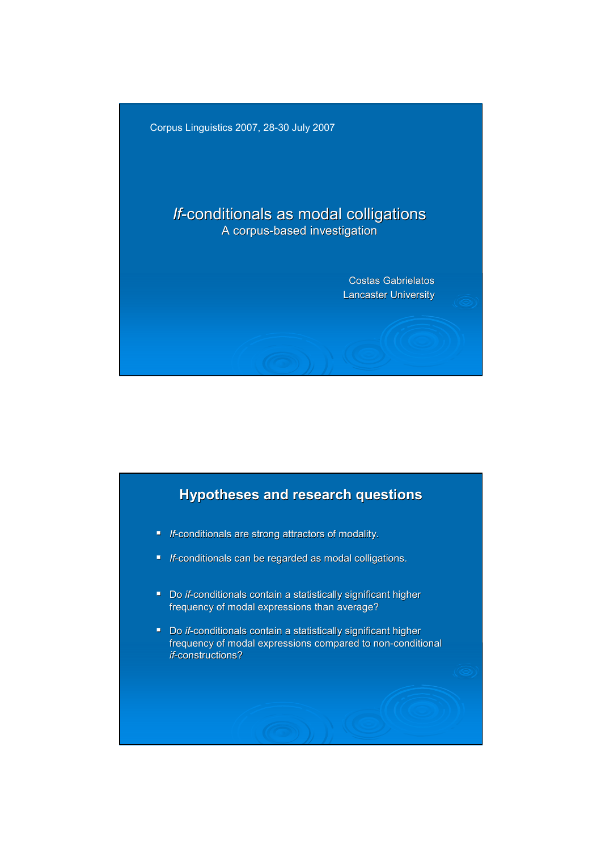

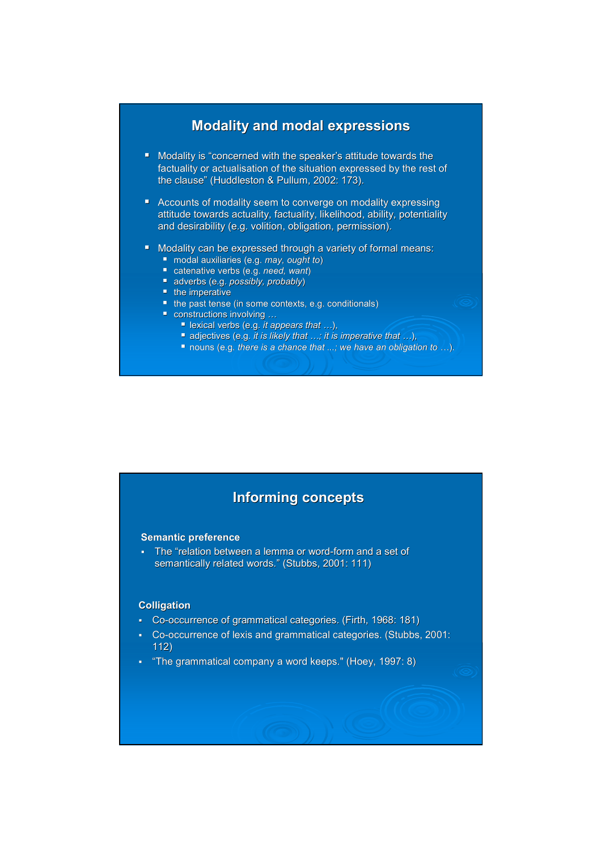### Modality and modal expressions

- Modality is "concerned with the speaker's attitude towards the factuality or actualisation of the situation expressed by the rest of the clause" (Huddleston & Pullum, 2002: 173).
- **Accounts of modality seem to converge on modality expressing** attitude towards actuality, factuality, likelihood, ability, potentiality and desirability (e.g. volition, obligation, permission).
- **Modality can be expressed through a variety of formal means:** 
	- modal auxiliaries (e.g. may, ought to)
	- catenative verbs (e.g. need, want) adverbs (e.g. possibly, probably)
	- $t$  the imperative
	- the past tense (in some contexts, e.g. conditionals)
	- **Constructions involving ...** 
		- lexical verbs (e.g. it appears that  $\dots$ ),
		- adjectives (e.g. it is likely that  $...$ ; it is imperative that  $...$ ),
		- nouns (e.g. there is a chance that ...; we have an obligation to ...).

## Informing concepts

#### Semantic preference

 The "relation between a lemma or word-form and a set of semantically related words." (Stubbs, 2001: 111)

#### Colligation

- Co-occurrence of grammatical categories. (Firth, 1968: 181)
- Co-occurrence of lexis and grammatical categories. (Stubbs, 2001: 112)
- "The grammatical company a word keeps." (Hoey, 1997: 8)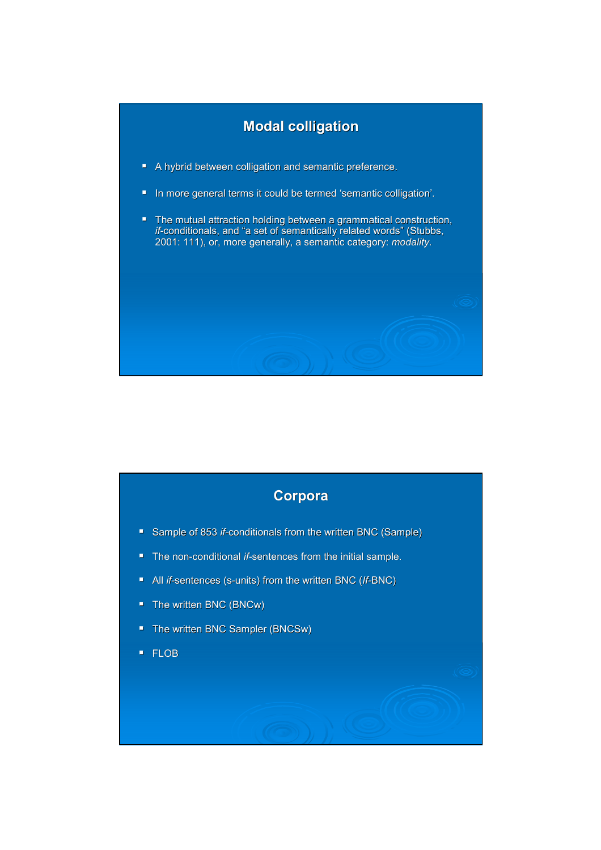

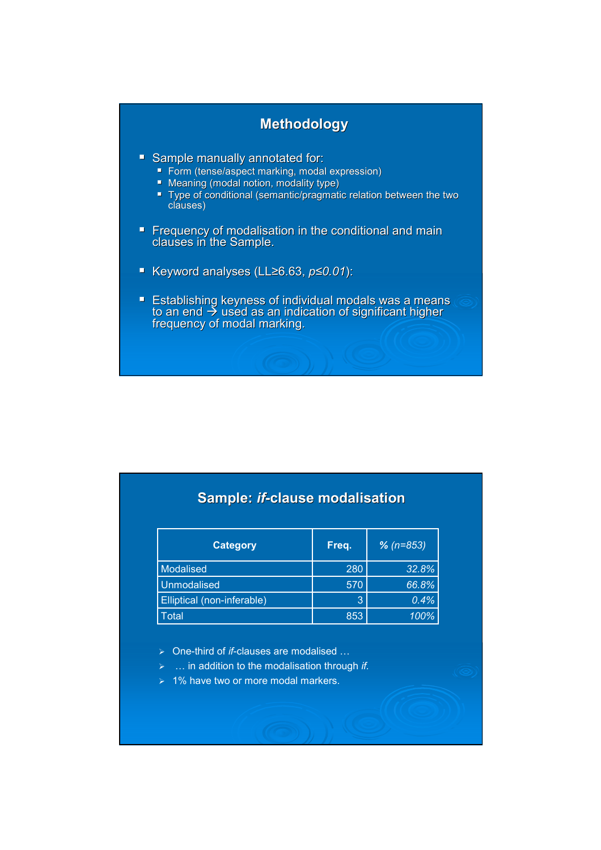## Methodology

- **Sample manually annotated for:** 
	- Form (tense/aspect marking, modal expression)
	- **Meaning (modal notion, modality type)**
	- Type of conditional (semantic/pragmatic relation between the two clauses)
- **Figure 1** Frequency of modalisation in the conditional and main clauses in the Sample.
- Keyword analyses (LL≥6.63, p≤0.01):
- **Establishing keyness of individual modals was a means**  $\frac{1}{2}$  and  $\frac{1}{2}$  used as an indication of significant higher frequency of modal marking.

# Sample: if-clause modalisation

| Category                   | Freq. | $% (n=853)$ |  |
|----------------------------|-------|-------------|--|
| Modalised                  | 280   | 32.8%       |  |
| <b>Unmodalised</b>         | 570   | 66.8%       |  |
| Elliptical (non-inferable) | 3     | 0.4%        |  |
| Total                      | 853   | 100%        |  |

- $\triangleright$  One-third of *if*-clauses are modalised ...
- $\triangleright$  ... in addition to the modalisation through if.
- $\geq 1\%$  have two or more modal markers.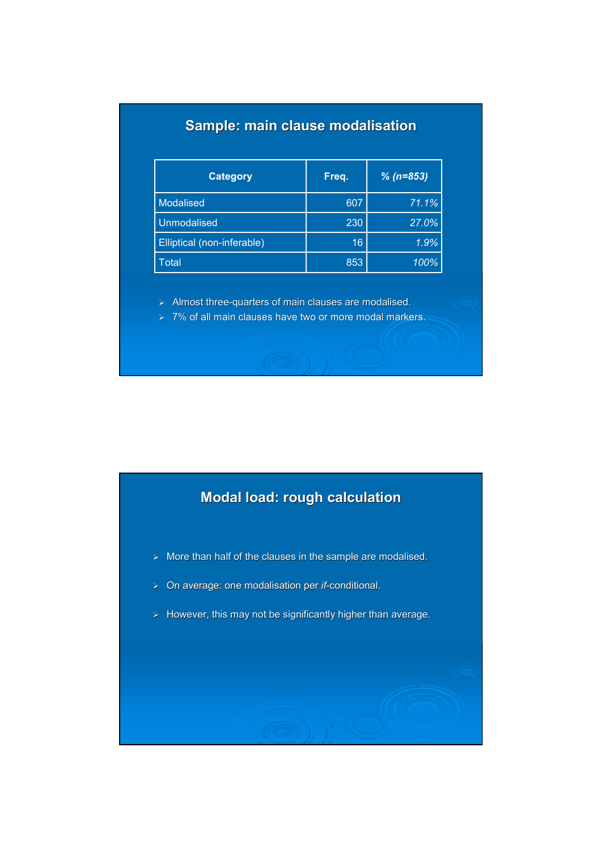# Sample: main clause modalisation

| <b>Category</b>            | Freq. | $% (n=853)$ |
|----------------------------|-------|-------------|
| <b>Modalised</b>           | 607   | 71.1%       |
| <b>Unmodalised</b>         | 230   | 27.0%       |
| Elliptical (non-inferable) | 16    | 1.9%        |
| Total                      | 853   | 100%        |

- $\triangleright$  Almost three-quarters of main clauses are modalised.
- $> 7\%$  of all main clauses have two or more modal markers.

# Modal load: rough calculation

- $>$  More than half of the clauses in the sample are modalised.
- $\triangleright$  On average: one modalisation per *if*-conditional.
- $\triangleright$  However, this may not be significantly higher than average.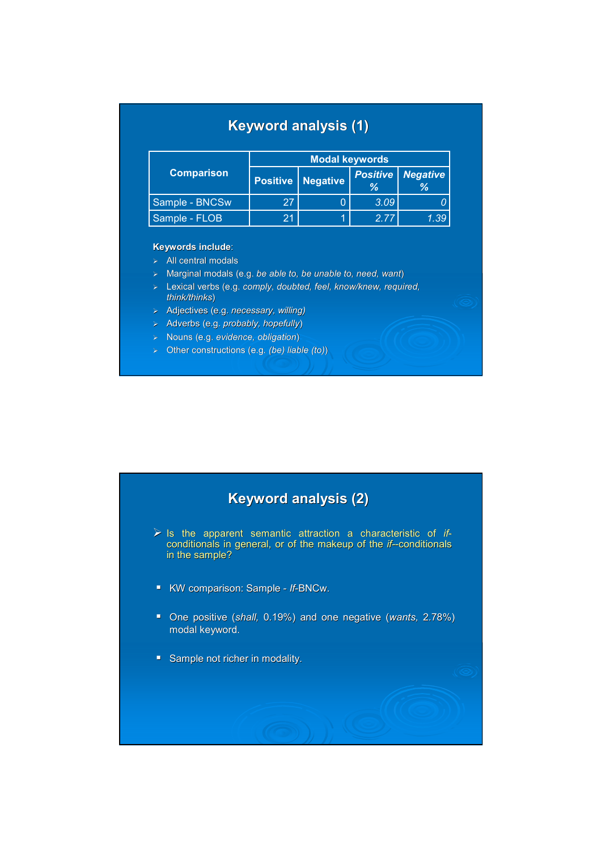| <b>Keyword analysis (1)</b> |  |  |
|-----------------------------|--|--|
|                             |  |  |

|                   | <b>Modal keywords</b> |                            |      |                                 |
|-------------------|-----------------------|----------------------------|------|---------------------------------|
| <b>Comparison</b> |                       | <b>Positive   Negative</b> | %    | <b>Positive   Negative</b><br>℅ |
| Sample - BNCSw    | 27                    |                            | 3.09 |                                 |
| Sample - FLOB     | 21                    |                            | 277  | 1.39                            |

#### Keywords include:

- $\triangleright$  All central modals
- $\geq$  Marginal modals (e.g. be able to, be unable to, need, want)
- > Lexical verbs (e.g. comply, doubted, feel, know/knew, required, think/thinks)
- > Adjectives (e.g. necessary, willing)
- > Adverbs (e.g. probably, hopefully)
- > Nouns (e.g. evidence, obligation)
- $\geq$  Other constructions (e.g. (be) liable (to))

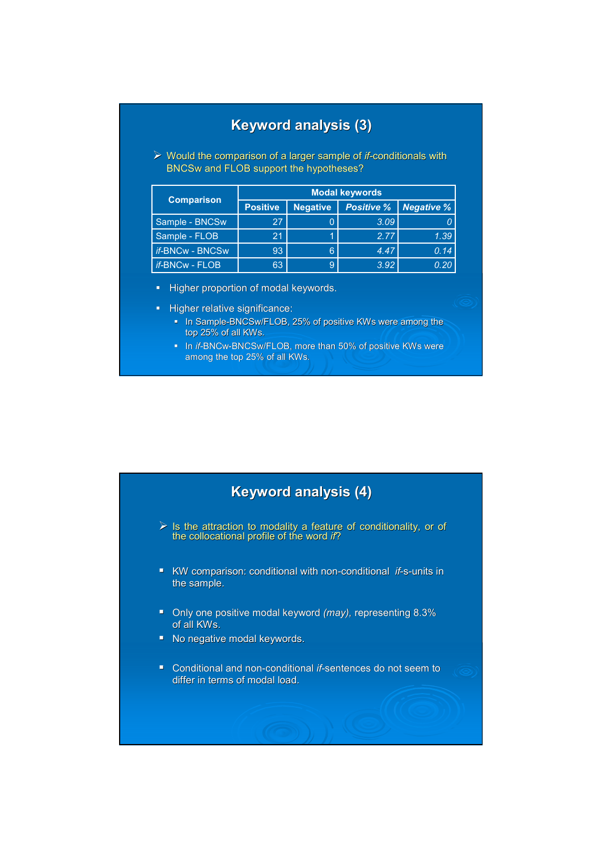## Keyword analysis (3)

 $\triangleright$  Would the comparison of a larger sample of *if*-conditionals with BNCSw and FLOB support the hypotheses?

|                        | <b>Modal keywords</b> |                 |                   |                    |  |
|------------------------|-----------------------|-----------------|-------------------|--------------------|--|
| <b>Comparison</b>      | <b>Positive</b>       | <b>Negative</b> | <b>Positive %</b> | $\vert$ Negative % |  |
| Sample - BNCSw         | 27                    |                 | 3.09              |                    |  |
| Sample - FLOB          | 21                    |                 | 2.77              | 1.39               |  |
| <i>if-BNCw - BNCSw</i> | 93                    | 6               | 4.47              | 0.14               |  |
| <i>if-</i> BNCw - FLOB | 63                    | 9               | 3.92              | 0.20               |  |

Higher proportion of modal keywords.

- Higher relative significance:
	- In Sample-BNCSw/FLOB, 25% of positive KWs were among the top 25% of all KWs.
	- In if-BNCw-BNCSw/FLOB, more than 50% of positive KWs were among the top 25% of all KWs.



- $\triangleright$  Is the attraction to modality a feature of conditionality, or of the collocational profile of the word if?
- KW comparison: conditional with non-conditional *if-*s-units in the sample.
- Only one positive modal keyword (may), representing 8.3% of all KWs.
- No negative modal keywords.
- Conditional and non-conditional *if*-sentences do not seem to differ in terms of modal load.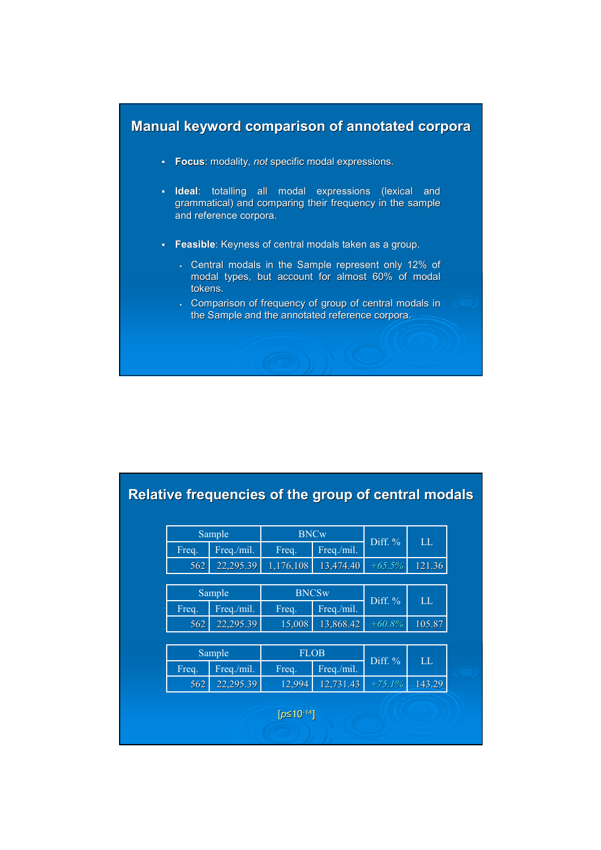

- **Focus:** modality, not specific modal expressions.
- Ideal: totalling all modal expressions (lexical and grammatical) and comparing their frequency in the sample and reference corpora.
- **Feasible:** Keyness of central modals taken as a group.
	- Central modals in the Sample represent only 12% of modal types, but account for almost 60% of modal tokens.
	- Comparison of frequency of group of central modals in the Sample and the annotated reference corpora.

|                    |        | Relative frequencies of the group of central modals |              |            |           |        |  |
|--------------------|--------|-----------------------------------------------------|--------------|------------|-----------|--------|--|
|                    | Sample |                                                     | <b>BNCw</b>  |            |           |        |  |
|                    | Freq.  | Freq./mil.                                          | Freq.        | Freq./mil. | Diff. %   | LL     |  |
|                    | 562    | 22,295.39                                           | 1,176,108    | 13,474.40  | $+65.5%$  | 121.36 |  |
|                    |        |                                                     |              |            |           |        |  |
|                    |        | Sample                                              | <b>BNCSw</b> |            | Diff. %   | LL     |  |
|                    | Freq.  | Freq./mil.                                          | Freq.        | Freq./mil. |           |        |  |
|                    | 562    | 22,295.39                                           | 15,008       | 13,868.42  | $+60.8%$  | 105.87 |  |
|                    |        |                                                     |              |            |           |        |  |
|                    |        | Sample                                              | <b>FLOB</b>  |            |           | LL     |  |
|                    | Freq.  | Freq./mil.                                          | Freq.        | Freq./mil. | Diff. $%$ |        |  |
|                    | 562    | 22,295.39                                           | 12,994       | 12,731.43  | $+75.1%$  | 143.29 |  |
| $[p \le 10^{-14}]$ |        |                                                     |              |            |           |        |  |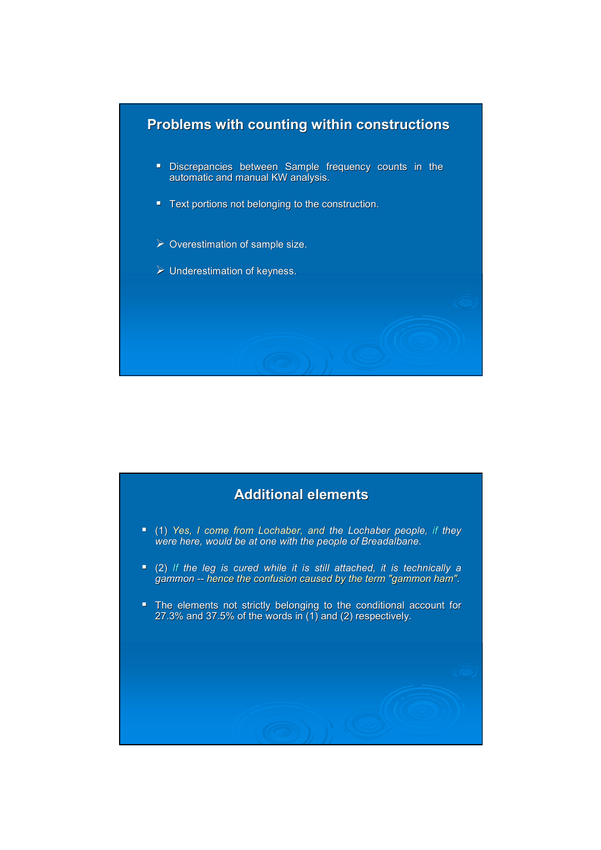

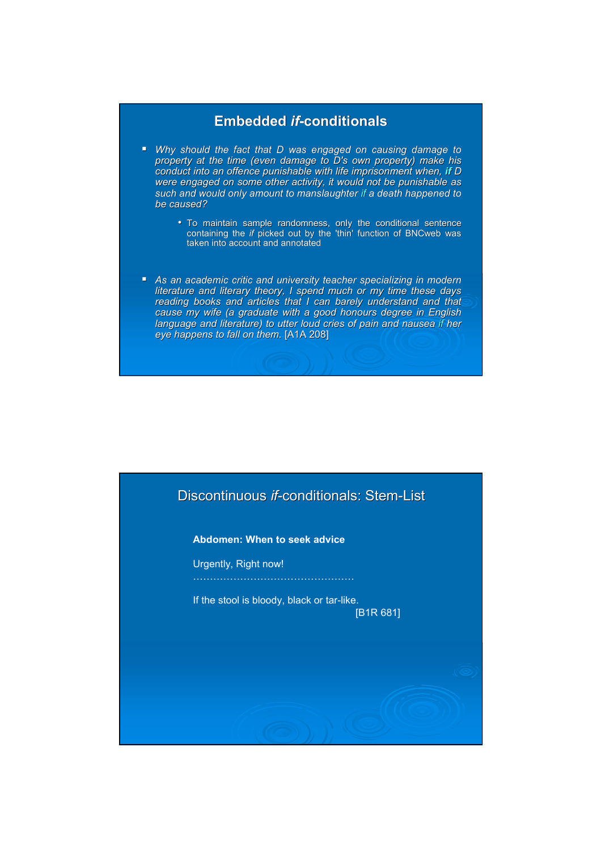### Embedded if-conditionals

- Why should the fact that D was engaged on causing damage to property at the time (even damage to D's own property) make his conduct into an offence punishable with life imprisonment when, if D were engaged on some other activity, it would not be punishable as such and would only amount to manslaughter if a death happened to be caused?
	- To maintain sample randomness, only the conditional sentence containing the if picked out by the 'thin' function of BNCweb was taken into account and annotated
- As an academic critic and university teacher specializing in modern literature and literary theory, I spend much or my time these days reading books and articles that I can barely understand and that cause my wife (a graduate with a good honours degree in English language and literature) to utter loud cries of pain and nausea if her eye happens to fall on them. [A1A 208]

## Discontinuous if-conditionals: Stem-List

Abdomen: When to seek advice

Urgently, Right now!

If the stool is bloody, black or tar-like. [B1R 681]